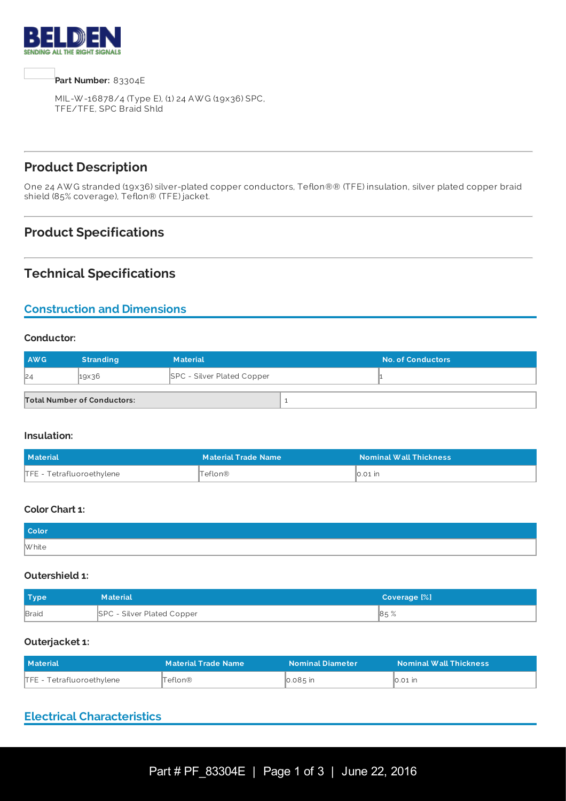



MIL-W -16878/4 (Type E), (1) 24 AW G (19x36) SPC, TFE/TFE, SPC Braid Shld

# **Product Description**

One 24 AW G stranded (19x36) silver-plated copper conductors, Teflon®® (TFE) insulation, silver plated copper braid shield (85% coverage), Teflon® (TFE) jacket.

### **Product Specifications**

### **Technical Specifications**

### **Construction and Dimensions**

#### **Conductor:**

| <b>AWG</b> | <b>Stranding</b>                   | <b>Material</b>                   | <b>No. of Conductors</b> |
|------------|------------------------------------|-----------------------------------|--------------------------|
| 24         | $19\times36$                       | <b>SPC - Silver Plated Copper</b> |                          |
|            | <b>Total Number of Conductors:</b> |                                   |                          |

#### **Insulation:**

| <b>Material</b>           | <b>Material Trade Name</b> | <b>Nominal Wall Thickness</b> |
|---------------------------|----------------------------|-------------------------------|
| TFE - Tetrafluoroethylene | Teflon®                    | $\overline{0.01}$ in          |

#### **Color Chart 1:**

| <b>Color</b> |  |
|--------------|--|
| W hite       |  |

#### **Outershield 1:**

| Type         | <b>Material</b>            | Coverage [%] |
|--------------|----------------------------|--------------|
| <b>Braid</b> | SPC - Silver Plated Copper | 85%          |

#### **Outerjacket 1:**

| <b>Material</b>           | <b>Material Trade Name</b> | <b>Nominal Diameter</b> | <b>Nominal Wall Thickness</b>    |
|---------------------------|----------------------------|-------------------------|----------------------------------|
| TFE - Tetrafluoroethylene | Teflon®                    | 0.085 in                | $\mathbb{I}$ 0.01 $\mathbb{I}$ n |

### **Electrical Characteristics**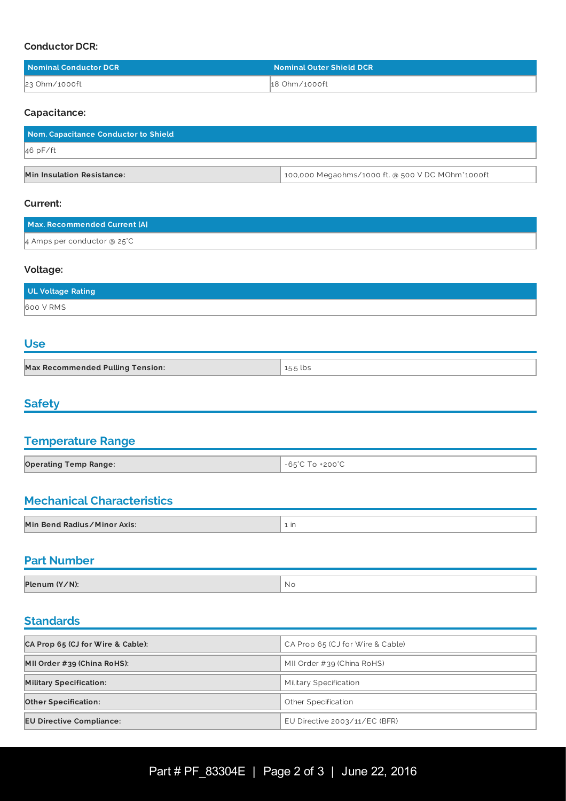#### **Conductor DCR:**

| Nominal Conductor DCR | <b>Nominal Outer Shield DCR</b> |
|-----------------------|---------------------------------|
| 23 Ohm/1000ft         | 18 Ohm/1000ft                   |

#### **Capacitance:**

| Nom. Capacitance Conductor to Shield |                                                  |  |
|--------------------------------------|--------------------------------------------------|--|
| $46$ pF/ft                           |                                                  |  |
|                                      |                                                  |  |
| <b>Min Insulation Resistance:</b>    | 100,000 Megaohms/1000 ft. @ 500 V DC MOhm*1000ft |  |

#### **Current:**

| Max. Recommended Current [A]    |  |
|---------------------------------|--|
| $\mu$ Amps per conductor @ 25°C |  |

#### **Voltage:**

| UL Voltage Rating |  |
|-------------------|--|
| 600 V RMS         |  |

#### **Use**

| <b>Max Recommended Pulling Tension:</b> | 15.5 lbs |
|-----------------------------------------|----------|

# **Safety**

# **Temperature Range**

| <b>Operating Temp Range:</b> | $\mathcal{C}$ To +200 $\mathcal{C}$<br>$-65^{\circ}$ C Tr |
|------------------------------|-----------------------------------------------------------|

### **Mechanical Characteristics**

| <b>Mechanical Characteristics</b> |      |  |
|-----------------------------------|------|--|
|                                   |      |  |
| Min Bend Radius/Minor Axis:       | . in |  |

# **Part Number**

| Plenum (Y/N): | N G |
|---------------|-----|

# **Standards Standards Standards** *notation* **<b>***notation**standards*

| CA Prop 65 (CJ for Wire & Cable): | CA Prop 65 (CJ for Wire & Cable) |  |  |  |
|-----------------------------------|----------------------------------|--|--|--|
| MII Order #39 (China RoHS):       | MII Order #39 (China RoHS)       |  |  |  |
| <b>Military Specification:</b>    | Military Specification           |  |  |  |
| <b>Other Specification:</b>       | Other Specification              |  |  |  |
| <b>EU Directive Compliance:</b>   | EU Directive $2003/11/EC$ (BFR)  |  |  |  |